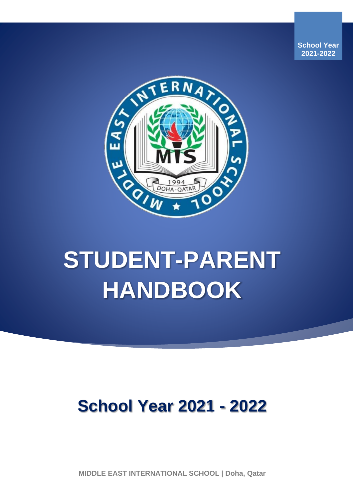**School Year 2021-2022**



# **STUDENT-PARENT HANDBOOK**

# **School Year 2021 - 2022**

**MIDDLE EAST INTERNATIONAL SCHOOL | Doha, Qatar**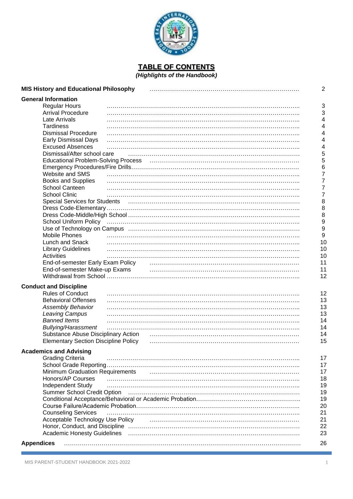

**TABLE OF CONTENTS** *(Highlights of the Handbook)*

| <b>MIS History and Educational Philosophy</b> |                                                                                                                             | 2  |
|-----------------------------------------------|-----------------------------------------------------------------------------------------------------------------------------|----|
| <b>General Information</b>                    |                                                                                                                             |    |
| <b>Regular Hours</b>                          |                                                                                                                             | 3  |
| <b>Arrival Procedure</b>                      |                                                                                                                             | 3  |
| Late Arrivals                                 |                                                                                                                             | 4  |
| <b>Tardiness</b>                              |                                                                                                                             | 4  |
| <b>Dismissal Procedure</b>                    |                                                                                                                             | 4  |
|                                               |                                                                                                                             | 4  |
| <b>Early Dismissal Days</b>                   |                                                                                                                             |    |
| <b>Excused Absences</b>                       |                                                                                                                             | 4  |
| Dismissal/After school care                   |                                                                                                                             | 5  |
| <b>Educational Problem-Solving Process</b>    |                                                                                                                             | 5  |
|                                               |                                                                                                                             | 6  |
| Website and SMS                               |                                                                                                                             | 7  |
| <b>Books and Supplies</b>                     |                                                                                                                             | 7  |
| School Canteen                                |                                                                                                                             | 7  |
| <b>School Clinic</b>                          |                                                                                                                             | 7  |
| <b>Special Services for Students</b>          |                                                                                                                             | 8  |
|                                               |                                                                                                                             | 8  |
|                                               |                                                                                                                             | 8  |
| <b>School Uniform Policy</b>                  |                                                                                                                             | 9  |
|                                               |                                                                                                                             | 9  |
| <b>Mobile Phones</b>                          |                                                                                                                             | 9  |
| Lunch and Snack                               |                                                                                                                             | 10 |
| <b>Library Guidelines</b>                     |                                                                                                                             | 10 |
| Activities                                    |                                                                                                                             | 10 |
|                                               |                                                                                                                             |    |
| End-of-semester Early Exam Policy             |                                                                                                                             | 11 |
| End-of-semester Make-up Exams                 |                                                                                                                             | 11 |
|                                               |                                                                                                                             | 12 |
| <b>Conduct and Discipline</b>                 |                                                                                                                             |    |
| <b>Rules of Conduct</b>                       |                                                                                                                             | 12 |
| <b>Behavioral Offenses</b>                    |                                                                                                                             | 13 |
| <b>Assembly Behavior</b>                      |                                                                                                                             | 13 |
| Leaving Campus                                |                                                                                                                             | 13 |
| <b>Banned Items</b>                           |                                                                                                                             | 14 |
| <b>Bullying/Harassment</b>                    |                                                                                                                             | 14 |
|                                               |                                                                                                                             |    |
| Substance Abuse Disciplinary Action           |                                                                                                                             | 14 |
| <b>Elementary Section Discipline Policy</b>   |                                                                                                                             | 15 |
| <b>Academics and Advising</b>                 |                                                                                                                             |    |
| <b>Grading Criteria</b>                       |                                                                                                                             | 17 |
|                                               |                                                                                                                             | 17 |
| <b>Minimum Graduation Requirements</b>        |                                                                                                                             | 17 |
| Honors/AP Courses                             |                                                                                                                             | 18 |
|                                               |                                                                                                                             | 19 |
| Independent Study                             |                                                                                                                             |    |
| Summer School Credit Option                   |                                                                                                                             | 19 |
|                                               |                                                                                                                             | 19 |
|                                               |                                                                                                                             | 20 |
| <b>Counseling Services</b>                    |                                                                                                                             | 21 |
| Acceptable Technology Use Policy              |                                                                                                                             | 21 |
|                                               |                                                                                                                             | 22 |
|                                               | Academic Honesty Guidelines (and according continuum and according of Academic Honesty Guidelines (and according continuum) | 23 |
| <b>Appendices</b>                             |                                                                                                                             | 26 |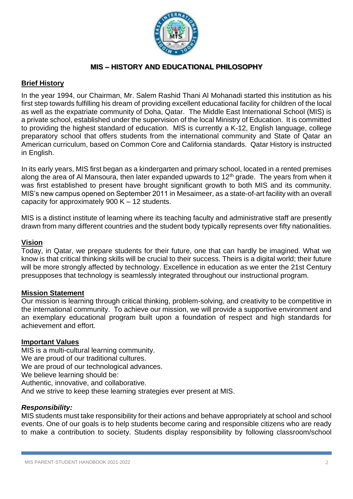

# **MIS – HISTORY AND EDUCATIONAL PHILOSOPHY**

#### **Brief History**

In the year 1994, our Chairman, Mr. Salem Rashid Thani Al Mohanadi started this institution as his first step towards fulfilling his dream of providing excellent educational facility for children of the local as well as the expatriate community of Doha, Qatar. The Middle East International School (MIS) is a private school, established under the supervision of the local Ministry of Education. It is committed to providing the highest standard of education. MIS is currently a K-12, English language, college preparatory school that offers students from the international community and State of Qatar an American curriculum, based on Common Core and California standards. Qatar History is instructed in English.

In its early years, MIS first began as a kindergarten and primary school, located in a rented premises along the area of Al Mansoura, then later expanded upwards to  $12<sup>th</sup>$  grade. The years from when it was first established to present have brought significant growth to both MIS and its community. MIS's new campus opened on September 2011 in Mesaimeer, as a state-of-art facility with an overall capacity for approximately 900 K – 12 students.

MIS is a distinct institute of learning where its teaching faculty and administrative staff are presently drawn from many different countries and the student body typically represents over fifty nationalities.

#### **Vision**

Today, in Qatar, we prepare students for their future, one that can hardly be imagined. What we know is that critical thinking skills will be crucial to their success. Theirs is a digital world; their future will be more strongly affected by technology. Excellence in education as we enter the 21st Century presupposes that technology is seamlessly integrated throughout our instructional program.

#### **Mission Statement**

Our mission is learning through critical thinking, problem-solving, and creativity to be competitive in the international community. To achieve our mission, we will provide a supportive environment and an exemplary educational program built upon a foundation of respect and high standards for achievement and effort.

#### **Important Values**

MIS is a multi-cultural learning community. We are proud of our traditional cultures. We are proud of our technological advances. We believe learning should be: Authentic, innovative, and collaborative. And we strive to keep these learning strategies ever present at MIS.

#### *Responsibility:*

MIS students must take responsibility for their actions and behave appropriately at school and school events. One of our goals is to help students become caring and responsible citizens who are ready to make a contribution to society. Students display responsibility by following classroom/school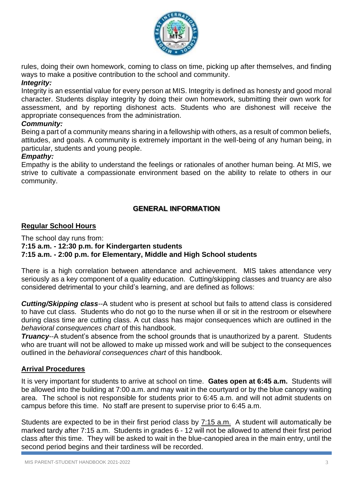

rules, doing their own homework, coming to class on time, picking up after themselves, and finding ways to make a positive contribution to the school and community.

# *Integrity:*

Integrity is an essential value for every person at MIS. Integrity is defined as honesty and good moral character. Students display integrity by doing their own homework, submitting their own work for assessment, and by reporting dishonest acts. Students who are dishonest will receive the appropriate consequences from the administration.

#### *Community:*

Being a part of a community means sharing in a fellowship with others, as a result of common beliefs, attitudes, and goals. A community is extremely important in the well-being of any human being, in particular, students and young people.

#### *Empathy:*

Empathy is the ability to understand the feelings or rationales of another human being. At MIS, we strive to cultivate a compassionate environment based on the ability to relate to others in our community.

# **GENERAL INFORMATION**

#### **Regular School Hours**

The school day runs from:

**7:15 a.m. - 12:30 p.m. for Kindergarten students**

**7:15 a.m. - 2:00 p.m. for Elementary, Middle and High School students**

There is a high correlation between attendance and achievement. MIS takes attendance very seriously as a key component of a quality education. Cutting/skipping classes and truancy are also considered detrimental to your child's learning, and are defined as follows:

*Cutting/Skipping class*--A student who is present at school but fails to attend class is considered to have cut class. Students who do not go to the nurse when ill or sit in the restroom or elsewhere during class time are cutting class. A cut class has major consequences which are outlined in the *behavioral consequences chart* of this handbook.

*Truancy*--A student's absence from the school grounds that is unauthorized by a parent. Students who are truant will not be allowed to make up missed work and will be subject to the consequences outlined in the *behavioral consequences chart* of this handbook.

#### **Arrival Procedures**

It is very important for students to arrive at school on time. **Gates open at 6:45 a.m.** Students will be allowed into the building at 7:00 a.m. and may wait in the courtyard or by the blue canopy waiting area. The school is not responsible for students prior to 6:45 a.m. and will not admit students on campus before this time. No staff are present to supervise prior to 6:45 a.m.

Students are expected to be in their first period class by 7:15 a.m. A student will automatically be marked tardy after 7:15 a.m. Students in grades 6 - 12 will not be allowed to attend their first period class after this time. They will be asked to wait in the blue-canopied area in the main entry, until the second period begins and their tardiness will be recorded.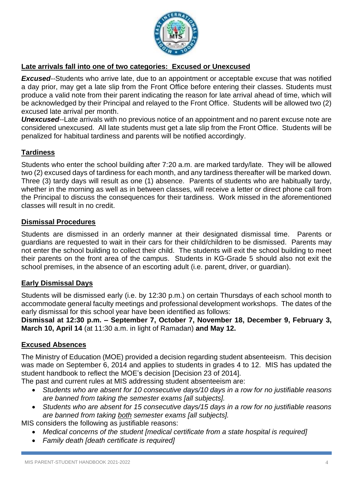

# **Late arrivals fall into one of two categories: Excused or Unexcused**

*Excused--*Students who arrive late, due to an appointment or acceptable excuse that was notified a day prior, may get a late slip from the Front Office before entering their classes. Students must produce a valid note from their parent indicating the reason for late arrival ahead of time, which will be acknowledged by their Principal and relayed to the Front Office. Students will be allowed two (2) excused late arrival per month.

*Unexcused--*Late arrivals with no previous notice of an appointment and no parent excuse note are considered unexcused. All late students must get a late slip from the Front Office. Students will be penalized for habitual tardiness and parents will be notified accordingly.

# **Tardiness**

Students who enter the school building after 7:20 a.m. are marked tardy/late. They will be allowed two (2) excused days of tardiness for each month, and any tardiness thereafter will be marked down. Three (3) tardy days will result as one (1) absence. Parents of students who are habitually tardy, whether in the morning as well as in between classes, will receive a letter or direct phone call from the Principal to discuss the consequences for their tardiness. Work missed in the aforementioned classes will result in no credit.

#### **Dismissal Procedures**

Students are dismissed in an orderly manner at their designated dismissal time. Parents or guardians are requested to wait in their cars for their child/children to be dismissed. Parents may not enter the school building to collect their child. The students will exit the school building to meet their parents on the front area of the campus. Students in KG-Grade 5 should also not exit the school premises, in the absence of an escorting adult (i.e. parent, driver, or guardian).

# **Early Dismissal Days**

Students will be dismissed early (i.e. by 12:30 p.m.) on certain Thursdays of each school month to accommodate general faculty meetings and professional development workshops. The dates of the early dismissal for this school year have been identified as follows:

**Dismissal at 12:30 p.m. – September 7, October 7, November 18, December 9, February 3, March 10, April 14** (at 11:30 a.m. in light of Ramadan) **and May 12.**

# **Excused Absences**

The Ministry of Education (MOE) provided a decision regarding student absenteeism. This decision was made on September 6, 2014 and applies to students in grades 4 to 12. MIS has updated the student handbook to reflect the MOE's decision [Decision 23 of 2014].

The past and current rules at MIS addressing student absenteeism are:

- *Students who are absent for 10 consecutive days/10 days in a row for no justifiable reasons are banned from taking the semester exams [all subjects].*
- *Students who are absent for 15 consecutive days/15 days in a row for no justifiable reasons are banned from taking both semester exams [all subjects].*

MIS considers the following as justifiable reasons:

- *Medical concerns of the student [medical certificate from a state hospital is required]*
- *Family death [death certificate is required]*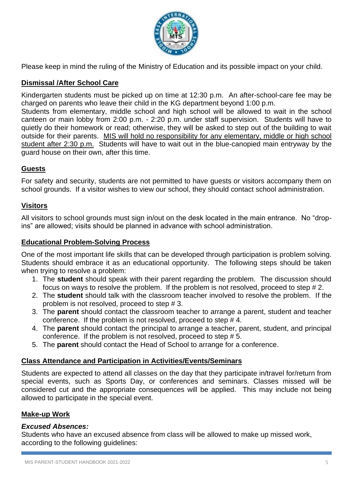

Please keep in mind the ruling of the Ministry of Education and its possible impact on your child.

# **Dismissal /After School Care**

Kindergarten students must be picked up on time at 12:30 p.m. An after-school-care fee may be charged on parents who leave their child in the KG department beyond 1:00 p.m.

Students from elementary, middle school and high school will be allowed to wait in the school canteen or main lobby from 2:00 p.m. - 2:20 p.m. under staff supervision. Students will have to quietly do their homework or read; otherwise, they will be asked to step out of the building to wait outside for their parents. MIS will hold no responsibility for any elementary, middle or high school student after 2:30 p.m. Students will have to wait out in the blue-canopied main entryway by the guard house on their own, after this time.

# **Guests**

For safety and security, students are not permitted to have guests or visitors accompany them on school grounds. If a visitor wishes to view our school, they should contact school administration.

# **Visitors**

All visitors to school grounds must sign in/out on the desk located in the main entrance. No "dropins" are allowed; visits should be planned in advance with school administration.

# **Educational Problem-Solving Process**

One of the most important life skills that can be developed through participation is problem solving. Students should embrace it as an educational opportunity. The following steps should be taken when trying to resolve a problem:

- 1. The **student** should speak with their parent regarding the problem. The discussion should focus on ways to resolve the problem. If the problem is not resolved, proceed to step # 2.
- 2. The **student** should talk with the classroom teacher involved to resolve the problem. If the problem is not resolved, proceed to step # 3.
- 3. The **parent** should contact the classroom teacher to arrange a parent, student and teacher conference. If the problem is not resolved, proceed to step # 4.
- 4. The **parent** should contact the principal to arrange a teacher, parent, student, and principal conference. If the problem is not resolved, proceed to step # 5.
- 5. The **parent** should contact the Head of School to arrange for a conference.

# **Class Attendance and Participation in Activities/Events/Seminars**

Students are expected to attend all classes on the day that they participate in/travel for/return from special events, such as Sports Day, or conferences and seminars. Classes missed will be considered cut and the appropriate consequences will be applied. This may include not being allowed to participate in the special event.

#### **Make-up Work**

# *Excused Absences:*

Students who have an excused absence from class will be allowed to make up missed work, according to the following guidelines: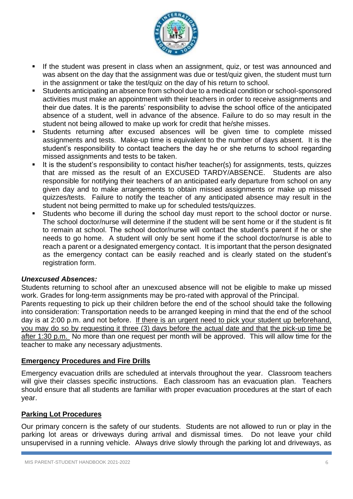

- **E** If the student was present in class when an assignment, quiz, or test was announced and was absent on the day that the assignment was due or test/quiz given, the student must turn in the assignment or take the test/quiz on the day of his return to school.
- Students anticipating an absence from school due to a medical condition or school-sponsored activities must make an appointment with their teachers in order to receive assignments and their due dates. It is the parents' responsibility to advise the school office of the anticipated absence of a student, well in advance of the absence. Failure to do so may result in the student not being allowed to make up work for credit that he/she misses.
- Students returning after excused absences will be given time to complete missed assignments and tests. Make-up time is equivalent to the number of days absent. It is the student's responsibility to contact teachers the day he or she returns to school regarding missed assignments and tests to be taken.
- It is the student's responsibility to contact his/her teacher(s) for assignments, tests, quizzes that are missed as the result of an EXCUSED TARDY/ABSENCE. Students are also responsible for notifying their teachers of an anticipated early departure from school on any given day and to make arrangements to obtain missed assignments or make up missed quizzes/tests. Failure to notify the teacher of any anticipated absence may result in the student not being permitted to make up for scheduled tests/quizzes.
- Students who become ill during the school day must report to the school doctor or nurse. The school doctor/nurse will determine if the student will be sent home or if the student is fit to remain at school. The school doctor/nurse will contact the student's parent if he or she needs to go home. A student will only be sent home if the school doctor/nurse is able to reach a parent or a designated emergency contact. It is important that the person designated as the emergency contact can be easily reached and is clearly stated on the student's registration form.

#### *Unexcused Absences:*

Students returning to school after an unexcused absence will not be eligible to make up missed work. Grades for long-term assignments may be pro-rated with approval of the Principal. Parents requesting to pick up their children before the end of the school should take the following into consideration: Transportation needs to be arranged keeping in mind that the end of the school day is at 2:00 p.m. and not before. If there is an urgent need to pick your student up beforehand, you may do so by requesting it three (3) days before the actual date and that the pick-up time be after 1:30 p.m. No more than one request per month will be approved. This will allow time for the teacher to make any necessary adjustments.

#### **Emergency Procedures and Fire Drills**

Emergency evacuation drills are scheduled at intervals throughout the year. Classroom teachers will give their classes specific instructions. Each classroom has an evacuation plan. Teachers should ensure that all students are familiar with proper evacuation procedures at the start of each year.

# **Parking Lot Procedures**

Our primary concern is the safety of our students. Students are not allowed to run or play in the parking lot areas or driveways during arrival and dismissal times. Do not leave your child unsupervised in a running vehicle. Always drive slowly through the parking lot and driveways, as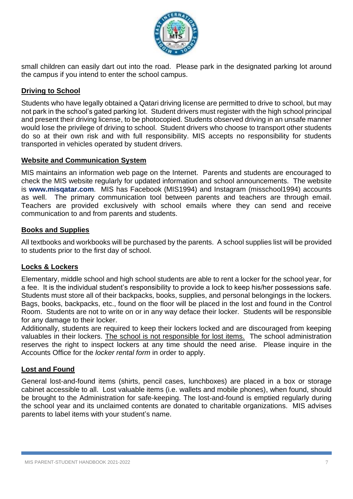

small children can easily dart out into the road. Please park in the designated parking lot around the campus if you intend to enter the school campus.

# **Driving to School**

Students who have legally obtained a Qatari driving license are permitted to drive to school, but may not park in the school's gated parking lot. Student drivers must register with the high school principal and present their driving license, to be photocopied. Students observed driving in an unsafe manner would lose the privilege of driving to school. Student drivers who choose to transport other students do so at their own risk and with full responsibility. MIS accepts no responsibility for students transported in vehicles operated by student drivers.

#### **Website and Communication System**

MIS maintains an information web page on the Internet. Parents and students are encouraged to check the MIS website regularly for updated information and school announcements. The website is **[www.misqatar.com](http://www.misqatar.com/)**. MIS has Facebook (MIS1994) and Instagram (misschool1994) accounts as well. The primary communication tool between parents and teachers are through email. Teachers are provided exclusively with school emails where they can send and receive communication to and from parents and students.

#### **Books and Supplies**

All textbooks and workbooks will be purchased by the parents. A school supplies list will be provided to students prior to the first day of school.

# **Locks & Lockers**

Elementary, middle school and high school students are able to rent a locker for the school year, for a fee. It is the individual student's responsibility to provide a lock to keep his/her possessions safe. Students must store all of their backpacks, books, supplies, and personal belongings in the lockers. Bags, books, backpacks, etc., found on the floor will be placed in the lost and found in the Control Room. Students are not to write on or in any way deface their locker. Students will be responsible for any damage to their locker.

Additionally, students are required to keep their lockers locked and are discouraged from keeping valuables in their lockers. The school is not responsible for lost items. The school administration reserves the right to inspect lockers at any time should the need arise. Please inquire in the Accounts Office for the *locker rental form* in order to apply.

# **Lost and Found**

General lost-and-found items (shirts, pencil cases, lunchboxes) are placed in a box or storage cabinet accessible to all. Lost valuable items (i.e. wallets and mobile phones), when found, should be brought to the Administration for safe-keeping. The lost-and-found is emptied regularly during the school year and its unclaimed contents are donated to charitable organizations. MIS advises parents to label items with your student's name.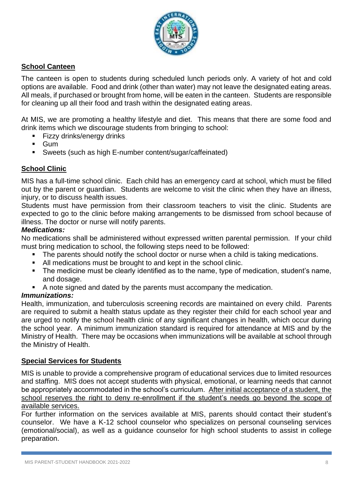

# **School Canteen**

The canteen is open to students during scheduled lunch periods only. A variety of hot and cold options are available. Food and drink (other than water) may not leave the designated eating areas. All meals, if purchased or brought from home, will be eaten in the canteen. Students are responsible for cleaning up all their food and trash within the designated eating areas.

At MIS, we are promoting a healthy lifestyle and diet. This means that there are some food and drink items which we discourage students from bringing to school:

- Fizzy drinks/energy drinks
- Gum
- Sweets (such as high E-number content/sugar/caffeinated)

# **School Clinic**

MIS has a full-time school clinic. Each child has an emergency card at school, which must be filled out by the parent or guardian. Students are welcome to visit the clinic when they have an illness, injury, or to discuss health issues.

Students must have permission from their classroom teachers to visit the clinic. Students are expected to go to the clinic before making arrangements to be dismissed from school because of illness. The doctor or nurse will notify parents.

#### *Medications:*

No medications shall be administered without expressed written parental permission. If your child must bring medication to school, the following steps need to be followed:

- The parents should notify the school doctor or nurse when a child is taking medications.
- All medications must be brought to and kept in the school clinic.
- The medicine must be clearly identified as to the name, type of medication, student's name, and dosage.
- A note signed and dated by the parents must accompany the medication.

# *Immunizations:*

Health, immunization, and tuberculosis screening records are maintained on every child. Parents are required to submit a health status update as they register their child for each school year and are urged to notify the school health clinic of any significant changes in health, which occur during the school year. A minimum immunization standard is required for attendance at MIS and by the Ministry of Health. There may be occasions when immunizations will be available at school through the Ministry of Health.

#### **Special Services for Students**

MIS is unable to provide a comprehensive program of educational services due to limited resources and staffing. MIS does not accept students with physical, emotional, or learning needs that cannot be appropriately accommodated in the school's curriculum. After initial acceptance of a student, the school reserves the right to deny re-enrollment if the student's needs go beyond the scope of available services.

For further information on the services available at MIS, parents should contact their student's counselor. We have a K-12 school counselor who specializes on personal counseling services (emotional/social), as well as a guidance counselor for high school students to assist in college preparation.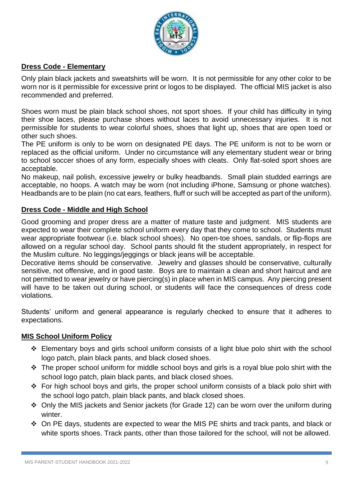

# **Dress Code - Elementary**

Only plain black jackets and sweatshirts will be worn. It is not permissible for any other color to be worn nor is it permissible for excessive print or logos to be displayed. The official MIS jacket is also recommended and preferred.

Shoes worn must be plain black school shoes, not sport shoes. If your child has difficulty in tying their shoe laces, please purchase shoes without laces to avoid unnecessary injuries. It is not permissible for students to wear colorful shoes, shoes that light up, shoes that are open toed or other such shoes.

The PE uniform is only to be worn on designated PE days. The PE uniform is not to be worn or replaced as the official uniform. Under no circumstance will any elementary student wear or bring to school soccer shoes of any form, especially shoes with cleats. Only flat-soled sport shoes are acceptable.

No makeup, nail polish, excessive jewelry or bulky headbands. Small plain studded earrings are acceptable, no hoops. A watch may be worn (not including iPhone, Samsung or phone watches). Headbands are to be plain (no cat ears, feathers, fluff or such will be accepted as part of the uniform).

#### **Dress Code - Middle and High School**

Good grooming and proper dress are a matter of mature taste and judgment. MIS students are expected to wear their complete school uniform every day that they come to school. Students must wear appropriate footwear (i.e. black school shoes). No open-toe shoes, sandals, or flip-flops are allowed on a regular school day. School pants should fit the student appropriately, in respect for the Muslim culture. No leggings/jeggings or black jeans will be acceptable.

Decorative items should be conservative. Jewelry and glasses should be conservative, culturally sensitive, not offensive, and in good taste. Boys are to maintain a clean and short haircut and are not permitted to wear jewelry or have piercing(s) in place when in MIS campus. Any piercing present will have to be taken out during school, or students will face the consequences of dress code violations.

Students' uniform and general appearance is regularly checked to ensure that it adheres to expectations.

#### **MIS School Uniform Policy**

- ❖ Elementary boys and girls school uniform consists of a light blue polo shirt with the school logo patch, plain black pants, and black closed shoes.
- ❖ The proper school uniform for middle school boys and girls is a royal blue polo shirt with the school logo patch, plain black pants, and black closed shoes.
- ❖ For high school boys and girls, the proper school uniform consists of a black polo shirt with the school logo patch, plain black pants, and black closed shoes.
- ❖ Only the MIS jackets and Senior jackets (for Grade 12) can be worn over the uniform during winter
- ❖ On PE days, students are expected to wear the MIS PE shirts and track pants, and black or white sports shoes. Track pants, other than those tailored for the school, will not be allowed.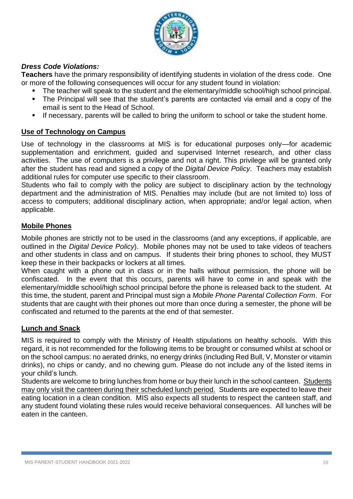

# *Dress Code Violations:*

**Teachers** have the primary responsibility of identifying students in violation of the dress code. One or more of the following consequences will occur for any student found in violation:

- The teacher will speak to the student and the elementary/middle school/high school principal.
- The Principal will see that the student's parents are contacted via email and a copy of the email is sent to the Head of School.
- If necessary, parents will be called to bring the uniform to school or take the student home.

# **Use of Technology on Campus**

Use of technology in the classrooms at MIS is for educational purposes only—for academic supplementation and enrichment, guided and supervised Internet research, and other class activities. The use of computers is a privilege and not a right. This privilege will be granted only after the student has read and signed a copy of the *Digital Device Policy*. Teachers may establish additional rules for computer use specific to their classroom.

Students who fail to comply with the policy are subject to disciplinary action by the technology department and the administration of MIS. Penalties may include (but are not limited to) loss of access to computers; additional disciplinary action, when appropriate; and/or legal action, when applicable.

# **Mobile Phones**

Mobile phones are strictly not to be used in the classrooms (and any exceptions, if applicable, are outlined in the *Digital Device Policy*). Mobile phones may not be used to take videos of teachers and other students in class and on campus. If students their bring phones to school, they MUST keep these in their backpacks or lockers at all times.

When caught with a phone out in class or in the halls without permission, the phone will be confiscated. In the event that this occurs, parents will have to come in and speak with the elementary/middle school/high school principal before the phone is released back to the student. At this time, the student, parent and Principal must sign a *Mobile Phone Parental Collection Form*. For students that are caught with their phones out more than once during a semester, the phone will be confiscated and returned to the parents at the end of that semester.

# **Lunch and Snack**

MIS is required to comply with the Ministry of Health stipulations on healthy schools. With this regard, it is not recommended for the following items to be brought or consumed whilst at school or on the school campus: no aerated drinks, no energy drinks (including Red Bull, V, Monster or vitamin drinks), no chips or candy, and no chewing gum. Please do not include any of the listed items in your child's lunch.

Students are welcome to bring lunches from home or buy their lunch in the school canteen. Students may only visit the canteen during their scheduled lunch period. Students are expected to leave their eating location in a clean condition. MIS also expects all students to respect the canteen staff, and any student found violating these rules would receive behavioral consequences. All lunches will be eaten in the canteen.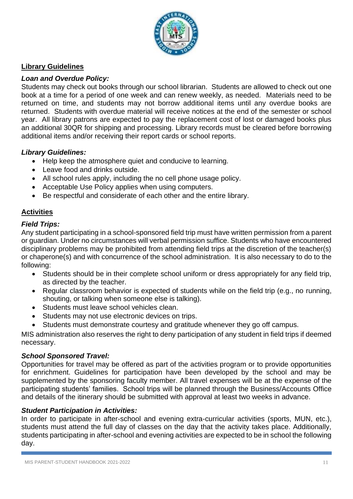

# **Library Guidelines**

# *Loan and Overdue Policy:*

Students may check out books through our school librarian. Students are allowed to check out one book at a time for a period of one week and can renew weekly, as needed. Materials need to be returned on time, and students may not borrow additional items until any overdue books are returned. Students with overdue material will receive notices at the end of the semester or school year. All library patrons are expected to pay the replacement cost of lost or damaged books plus an additional 30QR for shipping and processing. Library records must be cleared before borrowing additional items and/or receiving their report cards or school reports.

#### *Library Guidelines:*

- Help keep the atmosphere quiet and conducive to learning.
- Leave food and drinks outside.
- All school rules apply, including the no cell phone usage policy.
- Acceptable Use Policy applies when using computers.
- Be respectful and considerate of each other and the entire library.

# **Activities**

#### *Field Trips:*

Any student participating in a school-sponsored field trip must have written permission from a parent or guardian. Under no circumstances will verbal permission suffice. Students who have encountered disciplinary problems may be prohibited from attending field trips at the discretion of the teacher(s) or chaperone(s) and with concurrence of the school administration. It is also necessary to do to the following:

- Students should be in their complete school uniform or dress appropriately for any field trip, as directed by the teacher.
- Regular classroom behavior is expected of students while on the field trip (e.g., no running, shouting, or talking when someone else is talking).
- Students must leave school vehicles clean.
- Students may not use electronic devices on trips.
- Students must demonstrate courtesy and gratitude whenever they go off campus.

MIS administration also reserves the right to deny participation of any student in field trips if deemed necessary.

#### *School Sponsored Travel:*

Opportunities for travel may be offered as part of the activities program or to provide opportunities for enrichment. Guidelines for participation have been developed by the school and may be supplemented by the sponsoring faculty member. All travel expenses will be at the expense of the participating students' families. School trips will be planned through the Business/Accounts Office and details of the itinerary should be submitted with approval at least two weeks in advance.

#### *Student Participation in Activities:*

In order to participate in after-school and evening extra-curricular activities (sports, MUN, etc.), students must attend the full day of classes on the day that the activity takes place. Additionally, students participating in after-school and evening activities are expected to be in school the following day.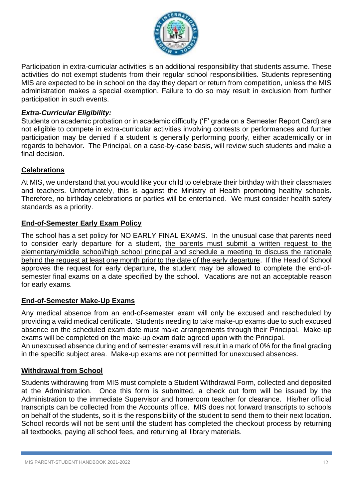

Participation in extra-curricular activities is an additional responsibility that students assume. These activities do not exempt students from their regular school responsibilities. Students representing MIS are expected to be in school on the day they depart or return from competition, unless the MIS administration makes a special exemption. Failure to do so may result in exclusion from further participation in such events.

# *Extra-Curricular Eligibility:*

Students on academic probation or in academic difficulty ('F' grade on a Semester Report Card) are not eligible to compete in extra-curricular activities involving contests or performances and further participation may be denied if a student is generally performing poorly, either academically or in regards to behavior. The Principal, on a case-by-case basis, will review such students and make a final decision.

# **Celebrations**

At MIS, we understand that you would like your child to celebrate their birthday with their classmates and teachers. Unfortunately, this is against the Ministry of Health promoting healthy schools. Therefore, no birthday celebrations or parties will be entertained. We must consider health safety standards as a priority.

# **End-of-Semester Early Exam Policy**

The school has a set policy for NO EARLY FINAL EXAMS. In the unusual case that parents need to consider early departure for a student, the parents must submit a written request to the elementary/middle school/high school principal and schedule a meeting to discuss the rationale behind the request at least one month prior to the date of the early departure. If the Head of School approves the request for early departure, the student may be allowed to complete the end-ofsemester final exams on a date specified by the school. Vacations are not an acceptable reason for early exams.

# **End-of-Semester Make-Up Exams**

Any medical absence from an end-of-semester exam will only be excused and rescheduled by providing a valid medical certificate. Students needing to take make-up exams due to such excused absence on the scheduled exam date must make arrangements through their Principal. Make-up exams will be completed on the make-up exam date agreed upon with the Principal.

An unexcused absence during end of semester exams will result in a mark of 0% for the final grading in the specific subject area. Make-up exams are not permitted for unexcused absences.

# **Withdrawal from School**

Students withdrawing from MIS must complete a Student Withdrawal Form, collected and deposited at the Administration. Once this form is submitted, a check out form will be issued by the Administration to the immediate Supervisor and homeroom teacher for clearance. His/her official transcripts can be collected from the Accounts office. MIS does not forward transcripts to schools on behalf of the students, so it is the responsibility of the student to send them to their next location. School records will not be sent until the student has completed the checkout process by returning all textbooks, paying all school fees, and returning all library materials.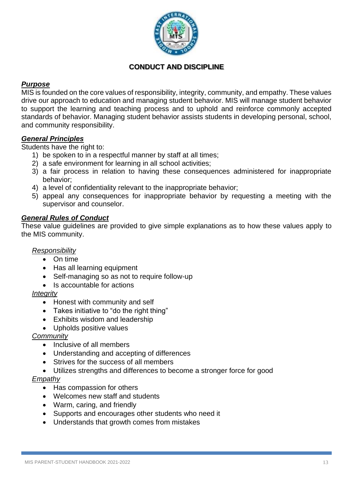

# **CONDUCT AND DISCIPLINE**

#### *Purpose*

MIS is founded on the core values of responsibility, integrity, community, and empathy. These values drive our approach to education and managing student behavior. MIS will manage student behavior to support the learning and teaching process and to uphold and reinforce commonly accepted standards of behavior. Managing student behavior assists students in developing personal, school, and community responsibility.

#### *General Principles*

Students have the right to:

- 1) be spoken to in a respectful manner by staff at all times;
- 2) a safe environment for learning in all school activities;
- 3) a fair process in relation to having these consequences administered for inappropriate behavior;
- 4) a level of confidentiality relevant to the inappropriate behavior;
- 5) appeal any consequences for inappropriate behavior by requesting a meeting with the supervisor and counselor.

#### *General Rules of Conduct*

These value guidelines are provided to give simple explanations as to how these values apply to the MIS community.

#### *Responsibility*

- On time
- Has all learning equipment
- Self-managing so as not to require follow-up
- Is accountable for actions

#### *Integrity*

- Honest with community and self
- Takes initiative to "do the right thing"
- Exhibits wisdom and leadership
- Upholds positive values

# *Community*

- Inclusive of all members
- Understanding and accepting of differences
- Strives for the success of all members
- Utilizes strengths and differences to become a stronger force for good

# *Empathy*

- Has compassion for others
- Welcomes new staff and students
- Warm, caring, and friendly
- Supports and encourages other students who need it
- Understands that growth comes from mistakes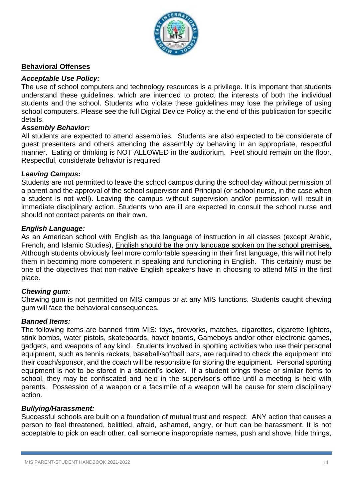

# **Behavioral Offenses**

#### *Acceptable Use Policy:*

The use of school computers and technology resources is a privilege. It is important that students understand these guidelines, which are intended to protect the interests of both the individual students and the school. Students who violate these guidelines may lose the privilege of using school computers. Please see the full Digital Device Policy at the end of this publication for specific details.

#### *Assembly Behavior:*

All students are expected to attend assemblies. Students are also expected to be considerate of guest presenters and others attending the assembly by behaving in an appropriate, respectful manner. Eating or drinking is NOT ALLOWED in the auditorium. Feet should remain on the floor. Respectful, considerate behavior is required.

#### *Leaving Campus:*

Students are not permitted to leave the school campus during the school day without permission of a parent and the approval of the school supervisor and Principal (or school nurse, in the case when a student is not well). Leaving the campus without supervision and/or permission will result in immediate disciplinary action. Students who are ill are expected to consult the school nurse and should not contact parents on their own.

#### *English Language:*

As an American school with English as the language of instruction in all classes (except Arabic, French, and Islamic Studies), English should be the only language spoken on the school premises. Although students obviously feel more comfortable speaking in their first language, this will not help them in becoming more competent in speaking and functioning in English. This certainly must be one of the objectives that non-native English speakers have in choosing to attend MIS in the first place.

#### *Chewing gum:*

Chewing gum is not permitted on MIS campus or at any MIS functions. Students caught chewing gum will face the behavioral consequences.

#### *Banned Items:*

The following items are banned from MIS: toys, fireworks, matches, cigarettes, cigarette lighters, stink bombs, water pistols, skateboards, hover boards, Gameboys and/or other electronic games, gadgets, and weapons of any kind. Students involved in sporting activities who use their personal equipment, such as tennis rackets, baseball/softball bats, are required to check the equipment into their coach/sponsor, and the coach will be responsible for storing the equipment. Personal sporting equipment is not to be stored in a student's locker. If a student brings these or similar items to school, they may be confiscated and held in the supervisor's office until a meeting is held with parents. Possession of a weapon or a facsimile of a weapon will be cause for stern disciplinary action.

#### *Bullying/Harassment:*

Successful schools are built on a foundation of mutual trust and respect. ANY action that causes a person to feel threatened, belittled, afraid, ashamed, angry, or hurt can be harassment. It is not acceptable to pick on each other, call someone inappropriate names, push and shove, hide things,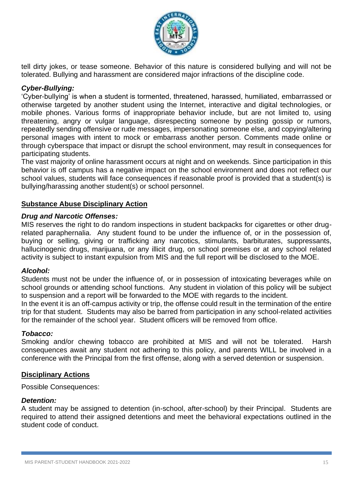

tell dirty jokes, or tease someone. Behavior of this nature is considered bullying and will not be tolerated. Bullying and harassment are considered major infractions of the discipline code.

# *Cyber-Bullying:*

'Cyber-bullying' is when a student is tormented, threatened, harassed, humiliated, embarrassed or otherwise targeted by another student using the Internet, interactive and digital technologies, or mobile phones. Various forms of inappropriate behavior include, but are not limited to, using threatening, angry or vulgar language, disrespecting someone by posting gossip or rumors, repeatedly sending offensive or rude messages, impersonating someone else, and copying/altering personal images with intent to mock or embarrass another person. Comments made online or through cyberspace that impact or disrupt the school environment, may result in consequences for participating students.

The vast majority of online harassment occurs at night and on weekends. Since participation in this behavior is off campus has a negative impact on the school environment and does not reflect our school values, students will face consequences if reasonable proof is provided that a student(s) is bullying/harassing another student(s) or school personnel.

#### **Substance Abuse Disciplinary Action**

#### *Drug and Narcotic Offenses:*

MIS reserves the right to do random inspections in student backpacks for cigarettes or other drugrelated paraphernalia. Any student found to be under the influence of, or in the possession of, buying or selling, giving or trafficking any narcotics, stimulants, barbiturates, suppressants, hallucinogenic drugs, marijuana, or any illicit drug, on school premises or at any school related activity is subject to instant expulsion from MIS and the full report will be disclosed to the MOE.

#### *Alcohol:*

Students must not be under the influence of, or in possession of intoxicating beverages while on school grounds or attending school functions. Any student in violation of this policy will be subject to suspension and a report will be forwarded to the MOE with regards to the incident.

In the event it is an off-campus activity or trip, the offense could result in the termination of the entire trip for that student. Students may also be barred from participation in any school-related activities for the remainder of the school year. Student officers will be removed from office.

#### *Tobacco:*

Smoking and/or chewing tobacco are prohibited at MIS and will not be tolerated. Harsh consequences await any student not adhering to this policy, and parents WILL be involved in a conference with the Principal from the first offense, along with a served detention or suspension.

#### **Disciplinary Actions**

Possible Consequences:

#### *Detention:*

A student may be assigned to detention (in-school, after-school) by their Principal. Students are required to attend their assigned detentions and meet the behavioral expectations outlined in the student code of conduct.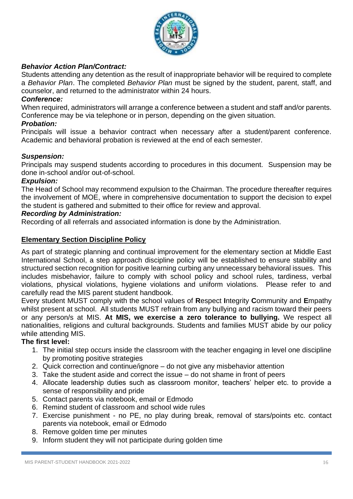

# *Behavior Action Plan/Contract:*

Students attending any detention as the result of inappropriate behavior will be required to complete a *Behavior Plan*. The completed *Behavior Plan* must be signed by the student, parent, staff, and counselor, and returned to the administrator within 24 hours.

#### *Conference:*

When required, administrators will arrange a conference between a student and staff and/or parents. Conference may be via telephone or in person, depending on the given situation.

#### *Probation:*

Principals will issue a behavior contract when necessary after a student/parent conference. Academic and behavioral probation is reviewed at the end of each semester.

#### *Suspension:*

Principals may suspend students according to procedures in this document. Suspension may be done in-school and/or out-of-school.

#### *Expulsion:*

The Head of School may recommend expulsion to the Chairman. The procedure thereafter requires the involvement of MOE, where in comprehensive documentation to support the decision to expel the student is gathered and submitted to their office for review and approval.

#### *Recording by Administration:*

Recording of all referrals and associated information is done by the Administration.

#### **Elementary Section Discipline Policy**

As part of strategic planning and continual improvement for the elementary section at Middle East International School, a step approach discipline policy will be established to ensure stability and structured section recognition for positive learning curbing any unnecessary behavioral issues. This includes misbehavior, failure to comply with school policy and school rules, tardiness, verbal violations, physical violations, hygiene violations and uniform violations. Please refer to and carefully read the MIS parent student handbook.

Every student MUST comply with the school values of **R**espect **I**ntegrity **C**ommunity and **E**mpathy whilst present at school. All students MUST refrain from any bullying and racism toward their peers or any person/s at MIS. **At MIS, we exercise a zero tolerance to bullying.** We respect all nationalities, religions and cultural backgrounds. Students and families MUST abide by our policy while attending MIS.

#### **The first level:**

- 1. The initial step occurs inside the classroom with the teacher engaging in level one discipline by promoting positive strategies
- 2. Quick correction and continue/ignore do not give any misbehavior attention
- 3. Take the student aside and correct the issue do not shame in front of peers
- 4. Allocate leadership duties such as classroom monitor, teachers' helper etc. to provide a sense of responsibility and pride
- 5. Contact parents via notebook, email or Edmodo
- 6. Remind student of classroom and school wide rules
- 7. Exercise punishment no PE, no play during break, removal of stars/points etc. contact parents via notebook, email or Edmodo
- 8. Remove golden time per minutes
- 9. Inform student they will not participate during golden time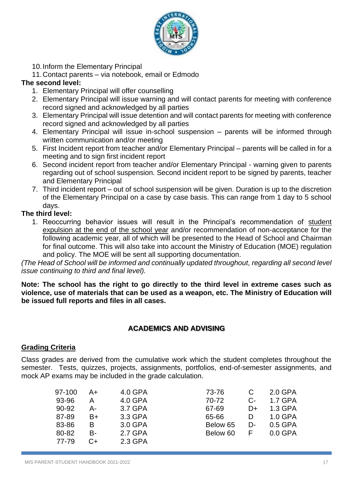

- 10.Inform the Elementary Principal
- 11.Contact parents via notebook, email or Edmodo

# **The second level:**

- 1. Elementary Principal will offer counselling
- 2. Elementary Principal will issue warning and will contact parents for meeting with conference record signed and acknowledged by all parties
- 3. Elementary Principal will issue detention and will contact parents for meeting with conference record signed and acknowledged by all parties
- 4. Elementary Principal will issue in-school suspension parents will be informed through written communication and/or meeting
- 5. First Incident report from teacher and/or Elementary Principal parents will be called in for a meeting and to sign first incident report
- 6. Second incident report from teacher and/or Elementary Principal warning given to parents regarding out of school suspension. Second incident report to be signed by parents, teacher and Elementary Principal
- 7. Third incident report out of school suspension will be given. Duration is up to the discretion of the Elementary Principal on a case by case basis. This can range from 1 day to 5 school days.

# **The third level:**

1. Reoccurring behavior issues will result in the Principal's recommendation of student expulsion at the end of the school year and/or recommendation of non-acceptance for the following academic year, all of which will be presented to the Head of School and Chairman for final outcome. This will also take into account the Ministry of Education (MOE) regulation and policy. The MOE will be sent all supporting documentation.

*(The Head of School will be informed and continually updated throughout, regarding all second level issue continuing to third and final level).*

**Note: The school has the right to go directly to the third level in extreme cases such as violence, use of materials that can be used as a weapon, etc. The Ministry of Education will be issued full reports and files in all cases.**

# **ACADEMICS AND ADVISING**

# **Grading Criteria**

Class grades are derived from the cumulative work which the student completes throughout the semester. Tests, quizzes, projects, assignments, portfolios, end-of-semester assignments, and mock AP exams may be included in the grade calculation.

| 97-100 | A+ | 4.0 GPA | 73-76    | C    | $2.0$ GPA |
|--------|----|---------|----------|------|-----------|
| 93-96  | А  | 4.0 GPA | 70-72    | $C-$ | 1.7 GPA   |
| 90-92  | А- | 3.7 GPA | 67-69    | D+   | 1.3 GPA   |
| 87-89  | B+ | 3.3 GPA | 65-66    | D    | 1.0 GPA   |
| 83-86  | B  | 3.0 GPA | Below 65 | D-   | 0.5 GPA   |
| 80-82  | B- | 2.7 GPA | Below 60 | F    | $0.0$ GPA |
| 77-79  | C+ | 2.3 GPA |          |      |           |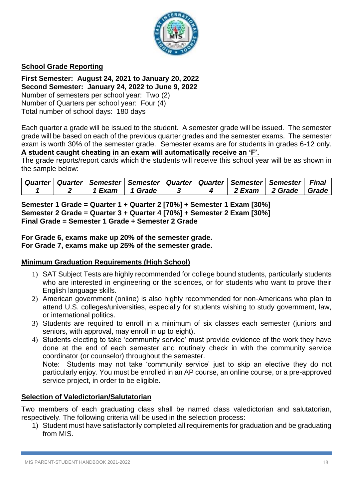

# **School Grade Reporting**

**First Semester: August 24, 2021 to January 20, 2022 Second Semester: January 24, 2022 to June 9, 2022** Number of semesters per school year: Two (2) Number of Quarters per school year: Four (4) Total number of school days: 180 days

Each quarter a grade will be issued to the student. A semester grade will be issued. The semester grade will be based on each of the previous quarter grades and the semester exams. The semester exam is worth 30% of the semester grade. Semester exams are for students in grades 6-12 only. **A student caught cheating in an exam will automatically receive an 'F'.**

The grade reports/report cards which the students will receive this school year will be as shown in the sample below:

|  |                  | ∣ Quarter ∣ Quarter ∣ Semester ∣ Semester ∣ Quarter ∣ Quarter ∣ Semester ∣ Semester ∣ <i>F</i> inal |  |                            |  |
|--|------------------|-----------------------------------------------------------------------------------------------------|--|----------------------------|--|
|  | 1 Exam 1 1 Grade |                                                                                                     |  | . 2 Exam   2 Grade   Grade |  |

**Semester 1 Grade = Quarter 1 + Quarter 2 [70%] + Semester 1 Exam [30%] Semester 2 Grade = Quarter 3 + Quarter 4 [70%] + Semester 2 Exam [30%] Final Grade = Semester 1 Grade + Semester 2 Grade**

**For Grade 6, exams make up 20% of the semester grade. For Grade 7, exams make up 25% of the semester grade.**

#### **Minimum Graduation Requirements (High School)**

- 1) SAT Subject Tests are highly recommended for college bound students, particularly students who are interested in engineering or the sciences, or for students who want to prove their English language skills.
- 2) American government (online) is also highly recommended for non-Americans who plan to attend U.S. colleges/universities, especially for students wishing to study government, law, or international politics.
- 3) Students are required to enroll in a minimum of six classes each semester (juniors and seniors, with approval, may enroll in up to eight).
- 4) Students electing to take 'community service' must provide evidence of the work they have done at the end of each semester and routinely check in with the community service coordinator (or counselor) throughout the semester.

Note: Students may not take 'community service' just to skip an elective they do not particularly enjoy. You must be enrolled in an AP course, an online course, or a pre-approved service project, in order to be eligible.

#### **Selection of Valedictorian/Salutatorian**

Two members of each graduating class shall be named class valedictorian and salutatorian, respectively. The following criteria will be used in the selection process:

1) Student must have satisfactorily completed all requirements for graduation and be graduating from MIS.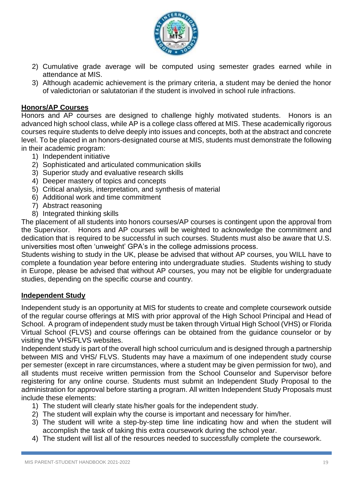

- 2) Cumulative grade average will be computed using semester grades earned while in attendance at MIS.
- 3) Although academic achievement is the primary criteria, a student may be denied the honor of valedictorian or salutatorian if the student is involved in school rule infractions.

# **Honors/AP Courses**

Honors and AP courses are designed to challenge highly motivated students. Honors is an advanced high school class, while AP is a college class offered at MIS. These academically rigorous courses require students to delve deeply into issues and concepts, both at the abstract and concrete level. To be placed in an honors-designated course at MIS, students must demonstrate the following in their academic program:

- 1) Independent initiative
- 2) Sophisticated and articulated communication skills
- 3) Superior study and evaluative research skills
- 4) Deeper mastery of topics and concepts
- 5) Critical analysis, interpretation, and synthesis of material
- 6) Additional work and time commitment
- 7) Abstract reasoning
- 8) Integrated thinking skills

The placement of all students into honors courses/AP courses is contingent upon the approval from the Supervisor. Honors and AP courses will be weighted to acknowledge the commitment and dedication that is required to be successful in such courses. Students must also be aware that U.S. universities most often 'unweight' GPA's in the college admissions process.

Students wishing to study in the UK, please be advised that without AP courses, you WILL have to complete a foundation year before entering into undergraduate studies. Students wishing to study in Europe, please be advised that without AP courses, you may not be eligible for undergraduate studies, depending on the specific course and country.

# **Independent Study**

Independent study is an opportunity at MIS for students to create and complete coursework outside of the regular course offerings at MIS with prior approval of the High School Principal and Head of School. A program of independent study must be taken through Virtual High School (VHS) or Florida Virtual School (FLVS) and course offerings can be obtained from the guidance counselor or by visiting the VHS/FLVS websites.

Independent study is part of the overall high school curriculum and is designed through a partnership between MIS and VHS/ FLVS. Students may have a maximum of one independent study course per semester (except in rare circumstances, where a student may be given permission for two), and all students must receive written permission from the School Counselor and Supervisor before registering for any online course. Students must submit an Independent Study Proposal to the administration for approval before starting a program. All written Independent Study Proposals must include these elements:

- 1) The student will clearly state his/her goals for the independent study.
- 2) The student will explain why the course is important and necessary for him/her.
- 3) The student will write a step-by-step time line indicating how and when the student will accomplish the task of taking this extra coursework during the school year.
- 4) The student will list all of the resources needed to successfully complete the coursework.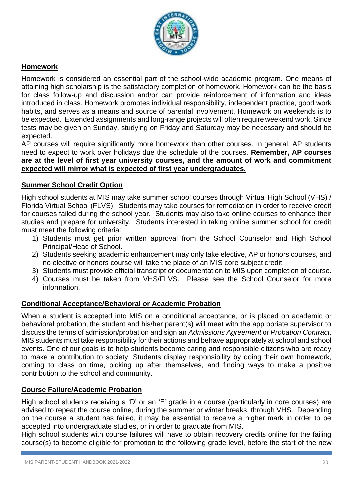

# **Homework**

Homework is considered an essential part of the school-wide academic program. One means of attaining high scholarship is the satisfactory completion of homework. Homework can be the basis for class follow-up and discussion and/or can provide reinforcement of information and ideas introduced in class. Homework promotes individual responsibility, independent practice, good work habits, and serves as a means and source of parental involvement. Homework on weekends is to be expected. Extended assignments and long-range projects will often require weekend work. Since tests may be given on Sunday, studying on Friday and Saturday may be necessary and should be expected.

AP courses will require significantly more homework than other courses. In general, AP students need to expect to work over holidays due the schedule of the courses. **Remember, AP courses are at the level of first year university courses, and the amount of work and commitment expected will mirror what is expected of first year undergraduates.** 

#### **Summer School Credit Option**

High school students at MIS may take summer school courses through Virtual High School (VHS) / Florida Virtual School (FLVS). Students may take courses for remediation in order to receive credit for courses failed during the school year. Students may also take online courses to enhance their studies and prepare for university. Students interested in taking online summer school for credit must meet the following criteria:

- 1) Students must get prior written approval from the School Counselor and High School Principal/Head of School.
- 2) Students seeking academic enhancement may only take elective, AP or honors courses, and no elective or honors course will take the place of an MIS core subject credit.
- 3) Students must provide official transcript or documentation to MIS upon completion of course.
- 4) Courses must be taken from VHS/FLVS. Please see the School Counselor for more information.

# **Conditional Acceptance/Behavioral or Academic Probation**

When a student is accepted into MIS on a conditional acceptance, or is placed on academic or behavioral probation, the student and his/her parent(s) will meet with the appropriate supervisor to discuss the terms of admission/probation and sign an *Admissions Agreement* or *Probation Contract*. MIS students must take responsibility for their actions and behave appropriately at school and school events. One of our goals is to help students become caring and responsible citizens who are ready to make a contribution to society. Students display responsibility by doing their own homework, coming to class on time, picking up after themselves, and finding ways to make a positive contribution to the school and community.

#### **Course Failure/Academic Probation**

High school students receiving a 'D' or an 'F' grade in a course (particularly in core courses) are advised to repeat the course online, during the summer or winter breaks, through VHS. Depending on the course a student has failed, it may be essential to receive a higher mark in order to be accepted into undergraduate studies, or in order to graduate from MIS.

High school students with course failures will have to obtain recovery credits online for the failing course(s) to become eligible for promotion to the following grade level, before the start of the new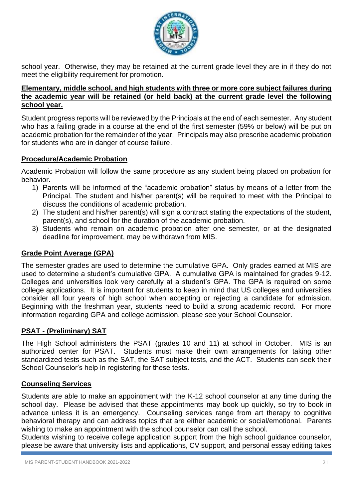

school year. Otherwise, they may be retained at the current grade level they are in if they do not meet the eligibility requirement for promotion.

#### **Elementary, middle school, and high students with three or more core subject failures during the academic year will be retained (or held back) at the current grade level the following school year.**

Student progress reports will be reviewed by the Principals at the end of each semester. Any student who has a failing grade in a course at the end of the first semester (59% or below) will be put on academic probation for the remainder of the year. Principals may also prescribe academic probation for students who are in danger of course failure.

## **Procedure/Academic Probation**

Academic Probation will follow the same procedure as any student being placed on probation for behavior.

- 1) Parents will be informed of the "academic probation" status by means of a letter from the Principal. The student and his/her parent(s) will be required to meet with the Principal to discuss the conditions of academic probation.
- 2) The student and his/her parent(s) will sign a contract stating the expectations of the student, parent(s), and school for the duration of the academic probation.
- 3) Students who remain on academic probation after one semester, or at the designated deadline for improvement, may be withdrawn from MIS.

# **Grade Point Average (GPA)**

The semester grades are used to determine the cumulative GPA. Only grades earned at MIS are used to determine a student's cumulative GPA. A cumulative GPA is maintained for grades 9-12. Colleges and universities look very carefully at a student's GPA. The GPA is required on some college applications. It is important for students to keep in mind that US colleges and universities consider all four years of high school when accepting or rejecting a candidate for admission. Beginning with the freshman year, students need to build a strong academic record. For more information regarding GPA and college admission, please see your School Counselor.

# **PSAT - (Preliminary) SAT**

The High School administers the PSAT (grades 10 and 11) at school in October. MIS is an authorized center for PSAT. Students must make their own arrangements for taking other standardized tests such as the SAT, the SAT subject tests, and the ACT. Students can seek their School Counselor's help in registering for these tests.

#### **Counseling Services**

Students are able to make an appointment with the K-12 school counselor at any time during the school day. Please be advised that these appointments may book up quickly, so try to book in advance unless it is an emergency. Counseling services range from art therapy to cognitive behavioral therapy and can address topics that are either academic or social/emotional. Parents wishing to make an appointment with the school counselor can call the school.

Students wishing to receive college application support from the high school guidance counselor, please be aware that university lists and applications, CV support, and personal essay editing takes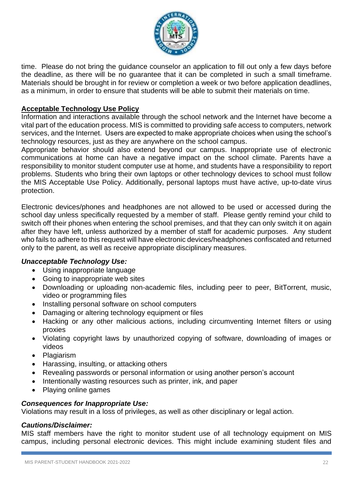

time. Please do not bring the guidance counselor an application to fill out only a few days before the deadline, as there will be no guarantee that it can be completed in such a small timeframe. Materials should be brought in for review or completion a week or two before application deadlines, as a minimum, in order to ensure that students will be able to submit their materials on time.

# **Acceptable Technology Use Policy**

Information and interactions available through the school network and the Internet have become a vital part of the education process. MIS is committed to providing safe access to computers, network services, and the Internet. Users are expected to make appropriate choices when using the school's technology resources, just as they are anywhere on the school campus.

Appropriate behavior should also extend beyond our campus. Inappropriate use of electronic communications at home can have a negative impact on the school climate. Parents have a responsibility to monitor student computer use at home, and students have a responsibility to report problems. Students who bring their own laptops or other technology devices to school must follow the MIS Acceptable Use Policy. Additionally, personal laptops must have active, up-to-date virus protection.

Electronic devices/phones and headphones are not allowed to be used or accessed during the school day unless specifically requested by a member of staff. Please gently remind your child to switch off their phones when entering the school premises, and that they can only switch it on again after they have left, unless authorized by a member of staff for academic purposes. Any student who fails to adhere to this request will have electronic devices/headphones confiscated and returned only to the parent, as well as receive appropriate disciplinary measures.

#### *Unacceptable Technology Use:*

- Using inappropriate language
- Going to inappropriate web sites
- Downloading or uploading non-academic files, including peer to peer, BitTorrent, music, video or programming files
- Installing personal software on school computers
- Damaging or altering technology equipment or files
- Hacking or any other malicious actions, including circumventing Internet filters or using proxies
- Violating copyright laws by unauthorized copying of software, downloading of images or videos
- Plagiarism
- Harassing, insulting, or attacking others
- Revealing passwords or personal information or using another person's account
- Intentionally wasting resources such as printer, ink, and paper
- Playing online games

#### *Consequences for Inappropriate Use:*

Violations may result in a loss of privileges, as well as other disciplinary or legal action.

#### *Cautions/Disclaimer:*

MIS staff members have the right to monitor student use of all technology equipment on MIS campus, including personal electronic devices. This might include examining student files and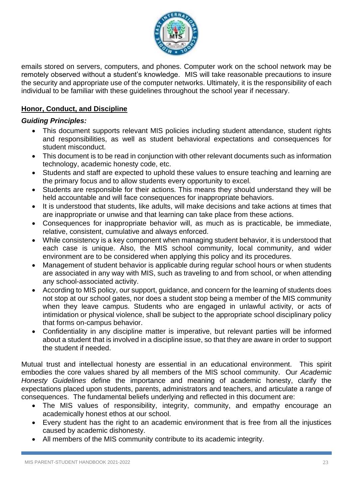

emails stored on servers, computers, and phones. Computer work on the school network may be remotely observed without a student's knowledge. MIS will take reasonable precautions to insure the security and appropriate use of the computer networks. Ultimately, it is the responsibility of each individual to be familiar with these guidelines throughout the school year if necessary.

# **Honor, Conduct, and Discipline**

#### *Guiding Principles:*

- This document supports relevant MIS policies including student attendance, student rights and responsibilities, as well as student behavioral expectations and consequences for student misconduct.
- This document is to be read in conjunction with other relevant documents such as information technology, academic honesty code, etc.
- Students and staff are expected to uphold these values to ensure teaching and learning are the primary focus and to allow students every opportunity to excel.
- Students are responsible for their actions. This means they should understand they will be held accountable and will face consequences for inappropriate behaviors.
- It is understood that students, like adults, will make decisions and take actions at times that are inappropriate or unwise and that learning can take place from these actions.
- Consequences for inappropriate behavior will, as much as is practicable, be immediate, relative, consistent, cumulative and always enforced.
- While consistency is a key component when managing student behavior, it is understood that each case is unique. Also, the MIS school community, local community, and wider environment are to be considered when applying this policy and its procedures.
- Management of student behavior is applicable during regular school hours or when students are associated in any way with MIS, such as traveling to and from school, or when attending any school-associated activity.
- According to MIS policy, our support, guidance, and concern for the learning of students does not stop at our school gates, nor does a student stop being a member of the MIS community when they leave campus. Students who are engaged in unlawful activity, or acts of intimidation or physical violence, shall be subject to the appropriate school disciplinary policy that forms on-campus behavior.
- Confidentiality in any discipline matter is imperative, but relevant parties will be informed about a student that is involved in a discipline issue, so that they are aware in order to support the student if needed.

Mutual trust and intellectual honesty are essential in an educational environment. This spirit embodies the core values shared by all members of the MIS school community. Our *Academic Honesty Guidelines* define the importance and meaning of academic honesty, clarify the expectations placed upon students, parents, administrators and teachers, and articulate a range of consequences. The fundamental beliefs underlying and reflected in this document are:

- The MIS values of responsibility, integrity, community, and empathy encourage an academically honest ethos at our school.
- Every student has the right to an academic environment that is free from all the injustices caused by academic dishonesty.
- All members of the MIS community contribute to its academic integrity.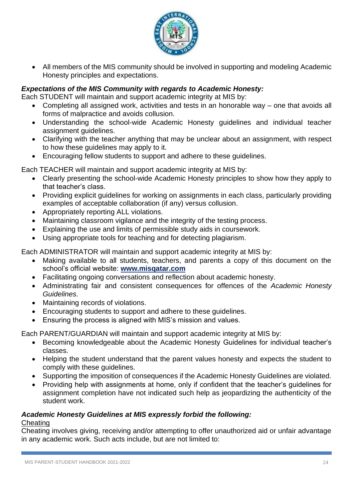

• All members of the MIS community should be involved in supporting and modeling Academic Honesty principles and expectations.

# *Expectations of the MIS Community with regards to Academic Honesty:*

Each STUDENT will maintain and support academic integrity at MIS by:

- Completing all assigned work, activities and tests in an honorable way one that avoids all forms of malpractice and avoids collusion.
- Understanding the school-wide Academic Honesty guidelines and individual teacher assignment guidelines.
- Clarifying with the teacher anything that may be unclear about an assignment, with respect to how these guidelines may apply to it.
- Encouraging fellow students to support and adhere to these guidelines.

Each TEACHER will maintain and support academic integrity at MIS by:

- Clearly presenting the school-wide Academic Honesty principles to show how they apply to that teacher's class.
- Providing explicit guidelines for working on assignments in each class, particularly providing examples of acceptable collaboration (if any) versus collusion.
- Appropriately reporting ALL violations.
- Maintaining classroom vigilance and the integrity of the testing process.
- Explaining the use and limits of permissible study aids in coursework.
- Using appropriate tools for teaching and for detecting plagiarism.

Each ADMINISTRATOR will maintain and support academic integrity at MIS by:

- Making available to all students, teachers, and parents a copy of this document on the school's official website: **[www.misqatar.com](http://www.misqatar.com/)**
- Facilitating ongoing conversations and reflection about academic honesty.
- Administrating fair and consistent consequences for offences of the *Academic Honesty Guidelines*.
- Maintaining records of violations.
- Encouraging students to support and adhere to these guidelines.
- Ensuring the process is aligned with MIS's mission and values.

Each PARENT/GUARDIAN will maintain and support academic integrity at MIS by:

- Becoming knowledgeable about the Academic Honesty Guidelines for individual teacher's classes.
- Helping the student understand that the parent values honesty and expects the student to comply with these guidelines.
- Supporting the imposition of consequences if the Academic Honesty Guidelines are violated.
- Providing help with assignments at home, only if confident that the teacher's guidelines for assignment completion have not indicated such help as jeopardizing the authenticity of the student work.

# *Academic Honesty Guidelines at MIS expressly forbid the following:*

#### **Cheating**

Cheating involves giving, receiving and/or attempting to offer unauthorized aid or unfair advantage in any academic work. Such acts include, but are not limited to: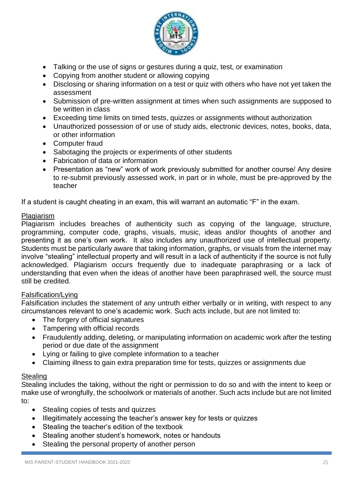

- Talking or the use of signs or gestures during a quiz, test, or examination
- Copying from another student or allowing copying
- Disclosing or sharing information on a test or quiz with others who have not yet taken the assessment
- Submission of pre-written assignment at times when such assignments are supposed to be written in class
- Exceeding time limits on timed tests, quizzes or assignments without authorization
- Unauthorized possession of or use of study aids, electronic devices, notes, books, data, or other information
- Computer fraud
- Sabotaging the projects or experiments of other students
- Fabrication of data or information
- Presentation as "new" work of work previously submitted for another course/ Any desire to re-submit previously assessed work, in part or in whole, must be pre-approved by the teacher

If a student is caught cheating in an exam, this will warrant an automatic "F" in the exam.

#### Plagiarism

Plagiarism includes breaches of authenticity such as copying of the language, structure, programming, computer code, graphs, visuals, music, ideas and/or thoughts of another and presenting it as one's own work. It also includes any unauthorized use of intellectual property. Students must be particularly aware that taking information, graphs, or visuals from the internet may involve "stealing" intellectual property and will result in a lack of authenticity if the source is not fully acknowledged. Plagiarism occurs frequently due to inadequate paraphrasing or a lack of understanding that even when the ideas of another have been paraphrased well, the source must still be credited.

#### Falsification/Lying

Falsification includes the statement of any untruth either verbally or in writing, with respect to any circumstances relevant to one's academic work. Such acts include, but are not limited to:

- The forgery of official signatures
- Tampering with official records
- Fraudulently adding, deleting, or manipulating information on academic work after the testing period or due date of the assignment
- Lying or failing to give complete information to a teacher
- Claiming illness to gain extra preparation time for tests, quizzes or assignments due

# **Stealing**

Stealing includes the taking, without the right or permission to do so and with the intent to keep or make use of wrongfully, the schoolwork or materials of another. Such acts include but are not limited to:

- Stealing copies of tests and quizzes
- Illegitimately accessing the teacher's answer key for tests or quizzes
- Stealing the teacher's edition of the textbook
- Stealing another student's homework, notes or handouts
- Stealing the personal property of another person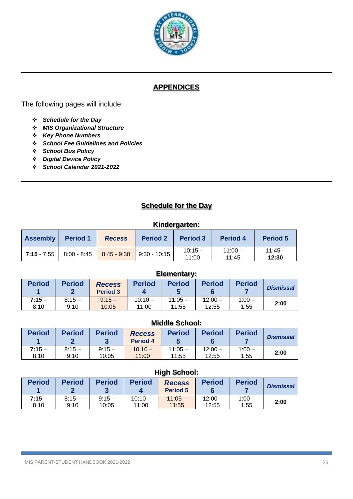

# **APPENDICES**

The following pages will include:

- ❖ *Schedule for the Day*
- ❖ *MIS Organizational Structure*
- ❖ *Key Phone Numbers*
- ❖ *School Fee Guidelines and Policies*
- ❖ *School Bus Policy*
- ❖ *Digital Device Policy*
- ❖ *School Calendar 2021-2022*

# **Schedule for the Day**

#### **Kindergarten:**

| <b>Assembly</b>     | <b>Period 1</b> | <b>Recess</b>             | <b>Period 2</b>      | <b>Period 3</b>  | <b>Period 4</b>    | <b>Period 5</b>   |
|---------------------|-----------------|---------------------------|----------------------|------------------|--------------------|-------------------|
| $\vert$ 7:15 - 7:55 |                 | $8:00 - 8:45$ 8:45 - 9:30 | $\vert$ 9:30 - 10:15 | 10:15 -<br>11:00 | $11:00 -$<br>11:45 | $11:45-$<br>12:30 |

#### **Elementary:**

| <b>Period</b> | <b>Period</b> | <b>Recess</b><br><b>Period 3</b> | <b>Period</b> | <b>Period</b> | <b>Period</b> | <b>Period</b> | <b>Dismissal</b> |
|---------------|---------------|----------------------------------|---------------|---------------|---------------|---------------|------------------|
| $7:15-$       | $8:15-$       | $9:15 -$                         | $10:10 -$     | $11:05 -$     | $12:00 -$     | $1:00 -$      | 2:00             |
| 8:10          | 9:10          | 10:05                            | 11:00         | 11:55         | 12:55         | 1:55          |                  |

# **Middle School:**

| <b>Period</b> | <b>Period</b> | <b>Period</b> | <b>Recess</b><br><b>Period 4</b> | <b>Period</b> | <b>Period</b> | <b>Period</b> | <b>Dismissal</b> |
|---------------|---------------|---------------|----------------------------------|---------------|---------------|---------------|------------------|
| $7:15 -$      | $8:15 -$      | $9:15 -$      | $10:10 -$                        | $11:05 -$     | $12:00 -$     | $1:00 -$      | 2:00             |
| 8:10          | 9:10          | 10:05         | 11:00                            | 11:55         | 12:55         | 1:55          |                  |

#### **High School:**

| <b>Period</b> | <b>Period</b> | <b>Period</b> | <b>Period</b> | <b>Recess</b><br><b>Period 5</b> | <b>Period</b> | <b>Period</b> | <b>Dismissal</b> |
|---------------|---------------|---------------|---------------|----------------------------------|---------------|---------------|------------------|
| $7:15-$       | $8:15 -$      | $9:15 -$      | $10:10 -$     | $11:05 -$                        | $12:00 -$     | $1:00 -$      | 2:00             |
| 8:10          | 9:10          | 10:05         | 11:00         | 11:55                            | 12:55         | 1:55          |                  |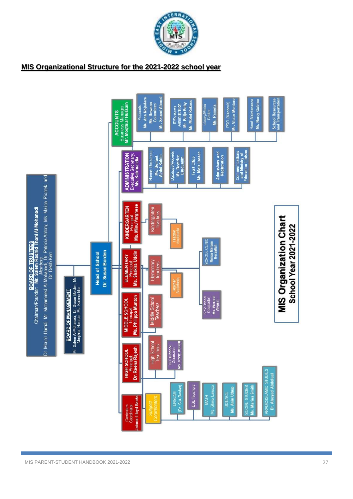

# **MIS Organizational Structure for the 2021-2022 school year**

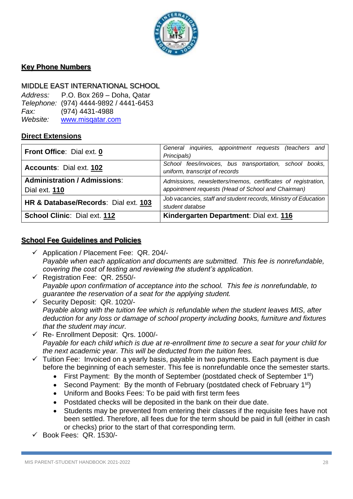

# **Key Phone Numbers**

#### MIDDLE EAST INTERNATIONAL SCHOOL

*Address:* P.O. Box 269 – Doha, Qatar *Telephone:* (974) 4444-9892 / 4441-6453 *Fax:* (974) 4431-4988 *Website:* [www.misqatar.com](http://www.misqatar.com/)

# **Direct Extensions**

| Front Office: Dial ext. 0                                                                           | General inquiries, appointment requests (teachers and           |  |  |  |  |
|-----------------------------------------------------------------------------------------------------|-----------------------------------------------------------------|--|--|--|--|
|                                                                                                     | Principals)                                                     |  |  |  |  |
| Accounts: Dial ext. 102                                                                             | School fees/invoices, bus transportation, school books,         |  |  |  |  |
|                                                                                                     | uniform, transcript of records                                  |  |  |  |  |
| <b>Administration / Admissions:</b><br>Admissions, newsletters/memos, certificates of registration, |                                                                 |  |  |  |  |
| Dial ext. <b>110</b>                                                                                | appointment requests (Head of School and Chairman)              |  |  |  |  |
| HR & Database/Records: Dial ext. 103                                                                | Job vacancies, staff and student records, Ministry of Education |  |  |  |  |
|                                                                                                     | student databse                                                 |  |  |  |  |
| School Clinic: Dial ext. 112                                                                        | Kindergarten Department: Dial ext. 116                          |  |  |  |  |

#### **School Fee Guidelines and Policies**

- ✓ Application / Placement Fee: QR. 204/- *Payable when each application and documents are submitted. This fee is nonrefundable, covering the cost of testing and reviewing the student's application.*
- ✓ Registration Fee: QR. 2550/- *Payable upon confirmation of acceptance into the school. This fee is nonrefundable, to guarantee the reservation of a seat for the applying student.*
- ✓ Security Deposit: QR. 1020/- *Payable along with the tuition fee which is refundable when the student leaves MIS, after deduction for any loss or damage of school property including books, furniture and fixtures that the student may incur.*
- ✓ Re- Enrollment Deposit: Qrs. 1000/- *Payable for each child which is due at re-enrollment time to secure a seat for your child for the next academic year. This will be deducted from the tuition fees.*
- $\checkmark$  Tuition Fee: Invoiced on a yearly basis, payable in two payments. Each payment is due before the beginning of each semester. This fee is nonrefundable once the semester starts.
	- First Payment: By the month of September (postdated check of September  $1<sup>st</sup>$ )
	- Second Payment: By the month of February (postdated check of February 1<sup>st</sup>)
	- Uniform and Books Fees: To be paid with first term fees
	- Postdated checks will be deposited in the bank on their due date.
	- Students may be prevented from entering their classes if the requisite fees have not been settled. Therefore, all fees due for the term should be paid in full (either in cash or checks) prior to the start of that corresponding term.
- $\checkmark$  Book Fees: QR. 1530/-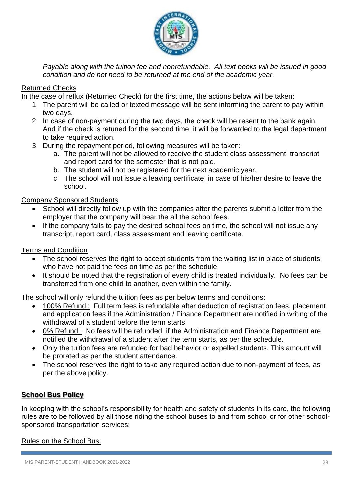

*Payable along with the tuition fee and nonrefundable. All text books will be issued in good condition and do not need to be returned at the end of the academic year.*

# Returned Checks

In the case of reflux (Returned Check) for the first time, the actions below will be taken:

- 1. The parent will be called or texted message will be sent informing the parent to pay within two days.
- 2. In case of non-payment during the two days, the check will be resent to the bank again. And if the check is retuned for the second time, it will be forwarded to the legal department to take required action.
- 3. During the repayment period, following measures will be taken:
	- a. The parent will not be allowed to receive the student class assessment, transcript and report card for the semester that is not paid.
	- b. The student will not be registered for the next academic year.
	- c. The school will not issue a leaving certificate, in case of his/her desire to leave the school.

# Company Sponsored Students

- School will directly follow up with the companies after the parents submit a letter from the employer that the company will bear the all the school fees.
- If the company fails to pay the desired school fees on time, the school will not issue any transcript, report card, class assessment and leaving certificate.

# Terms and Condition

- The school reserves the right to accept students from the waiting list in place of students, who have not paid the fees on time as per the schedule.
- It should be noted that the registration of every child is treated individually. No fees can be transferred from one child to another, even within the family.

The school will only refund the tuition fees as per below terms and conditions:

- 100% Refund : Full term fees is refundable after deduction of registration fees, placement and application fees if the Administration / Finance Department are notified in writing of the withdrawal of a student before the term starts.
- 0% Refund : No fees will be refunded if the Administration and Finance Department are notified the withdrawal of a student after the term starts, as per the schedule.
- Only the tuition fees are refunded for bad behavior or expelled students. This amount will be prorated as per the student attendance.
- The school reserves the right to take any required action due to non-payment of fees, as per the above policy.

# **School Bus Policy**

In keeping with the school's responsibility for health and safety of students in its care, the following rules are to be followed by all those riding the school buses to and from school or for other schoolsponsored transportation services:

#### Rules on the School Bus: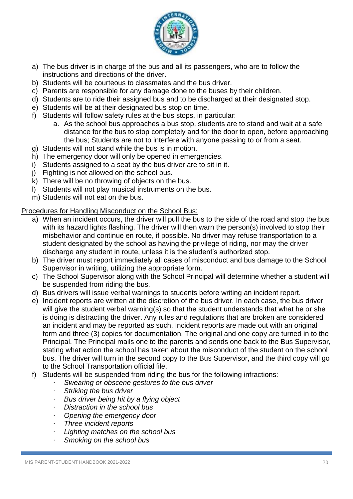

- a) The bus driver is in charge of the bus and all its passengers, who are to follow the instructions and directions of the driver.
- b) Students will be courteous to classmates and the bus driver.
- c) Parents are responsible for any damage done to the buses by their children.
- d) Students are to ride their assigned bus and to be discharged at their designated stop.
- e) Students will be at their designated bus stop on time.
- f) Students will follow safety rules at the bus stops, in particular:
	- a. As the school bus approaches a bus stop, students are to stand and wait at a safe distance for the bus to stop completely and for the door to open, before approaching the bus; Students are not to interfere with anyone passing to or from a seat.
- g) Students will not stand while the bus is in motion.
- h) The emergency door will only be opened in emergencies.
- i) Students assigned to a seat by the bus driver are to sit in it.
- j) Fighting is not allowed on the school bus.
- k) There will be no throwing of objects on the bus.
- l) Students will not play musical instruments on the bus.
- m) Students will not eat on the bus.

#### Procedures for Handling Misconduct on the School Bus:

- a) When an incident occurs, the driver will pull the bus to the side of the road and stop the bus with its hazard lights flashing. The driver will then warn the person(s) involved to stop their misbehavior and continue en route, if possible. No driver may refuse transportation to a student designated by the school as having the privilege of riding, nor may the driver discharge any student in route, unless it is the student's authorized stop.
- b) The driver must report immediately all cases of misconduct and bus damage to the School Supervisor in writing, utilizing the appropriate form.
- c) The School Supervisor along with the School Principal will determine whether a student will be suspended from riding the bus.
- d) Bus drivers will issue verbal warnings to students before writing an incident report.
- e) Incident reports are written at the discretion of the bus driver. In each case, the bus driver will give the student verbal warning(s) so that the student understands that what he or she is doing is distracting the driver. Any rules and regulations that are broken are considered an incident and may be reported as such. Incident reports are made out with an original form and three (3) copies for documentation. The original and one copy are turned in to the Principal. The Principal mails one to the parents and sends one back to the Bus Supervisor, stating what action the school has taken about the misconduct of the student on the school bus. The driver will turn in the second copy to the Bus Supervisor, and the third copy will go to the School Transportation official file.
- f) Students will be suspended from riding the bus for the following infractions:
	- · *Swearing or obscene gestures to the bus driver*
	- · *Striking the bus driver*
	- · *Bus driver being hit by a flying object*
	- · *Distraction in the school bus*
	- · *Opening the emergency door*
	- · *Three incident reports*
	- · *Lighting matches on the school bus*
	- · *Smoking on the school bus*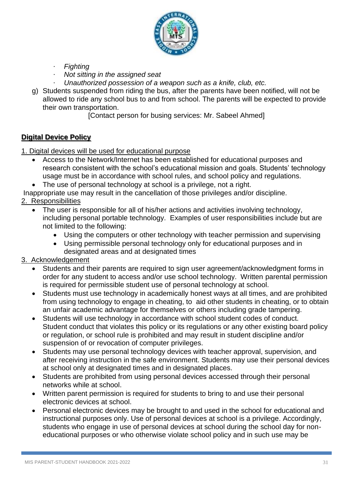

- · *Fighting*
- · *Not sitting in the assigned seat*
- · *Unauthorized possession of a weapon such as a knife, club, etc.*
- g) Students suspended from riding the bus, after the parents have been notified, will not be allowed to ride any school bus to and from school. The parents will be expected to provide their own transportation.

[Contact person for busing services: Mr. Sabeel Ahmed]

# **Digital Device Policy**

1. Digital devices will be used for educational purpose

- Access to the Network/Internet has been established for educational purposes and research consistent with the school's educational mission and goals. Students' technology usage must be in accordance with school rules, and school policy and regulations.
- The use of personal technology at school is a privilege, not a right.

Inappropriate use may result in the cancellation of those privileges and/or discipline.

- 2. Responsibilities
	- The user is responsible for all of his/her actions and activities involving technology, including personal portable technology. Examples of user responsibilities include but are not limited to the following:
		- Using the computers or other technology with teacher permission and supervising
		- Using permissible personal technology only for educational purposes and in designated areas and at designated times

# 3. Acknowledgement

- Students and their parents are required to sign user agreement/acknowledgment forms in order for any student to access and/or use school technology. Written parental permission is required for permissible student use of personal technology at school.
- Students must use technology in academically honest ways at all times, and are prohibited from using technology to engage in cheating, to aid other students in cheating, or to obtain an unfair academic advantage for themselves or others including grade tampering.
- Students will use technology in accordance with school student codes of conduct*.* Student conduct that violates this policy or its regulations or any other existing board policy or regulation, or school rule is prohibited and may result in student discipline and/or suspension of or revocation of computer privileges.
- Students may use personal technology devices with teacher approval, supervision, and after receiving instruction in the safe environment. Students may use their personal devices at school only at designated times and in designated places.
- Students are prohibited from using personal devices accessed through their personal networks while at school.
- Written parent permission is required for students to bring to and use their personal electronic devices at school.
- Personal electronic devices may be brought to and used in the school for educational and instructional purposes only. Use of personal devices at school is a privilege. Accordingly, students who engage in use of personal devices at school during the school day for noneducational purposes or who otherwise violate school policy and in such use may be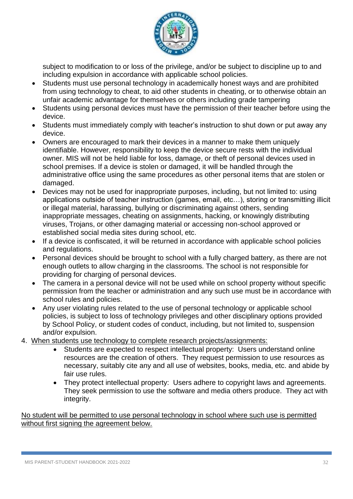

subject to modification to or loss of the privilege, and/or be subject to discipline up to and including expulsion in accordance with applicable school policies.

- Students must use personal technology in academically honest ways and are prohibited from using technology to cheat, to aid other students in cheating, or to otherwise obtain an unfair academic advantage for themselves or others including grade tampering
- Students using personal devices must have the permission of their teacher before using the device.
- Students must immediately comply with teacher's instruction to shut down or put away any device.
- Owners are encouraged to mark their devices in a manner to make them uniquely identifiable. However, responsibility to keep the device secure rests with the individual owner. MIS will not be held liable for loss, damage, or theft of personal devices used in school premises. If a device is stolen or damaged, it will be handled through the administrative office using the same procedures as other personal items that are stolen or damaged.
- Devices may not be used for inappropriate purposes, including, but not limited to: using applications outside of teacher instruction (games, email, etc…), storing or transmitting illicit or illegal material, harassing, bullying or discriminating against others, sending inappropriate messages, cheating on assignments, hacking, or knowingly distributing viruses, Trojans, or other damaging material or accessing non-school approved or established social media sites during school, etc.
- If a device is confiscated, it will be returned in accordance with applicable school policies and regulations.
- Personal devices should be brought to school with a fully charged battery, as there are not enough outlets to allow charging in the classrooms. The school is not responsible for providing for charging of personal devices.
- The camera in a personal device will not be used while on school property without specific permission from the teacher or administration and any such use must be in accordance with school rules and policies.
- Any user violating rules related to the use of personal technology or applicable school policies, is subject to loss of technology privileges and other disciplinary options provided by School Policy, or student codes of conduct, including, but not limited to, suspension and/or expulsion.
- 4. When students use technology to complete research projects/assignments:
	- Students are expected to respect intellectual property: Users understand online resources are the creation of others. They request permission to use resources as necessary, suitably cite any and all use of websites, books, media, etc. and abide by fair use rules.
	- They protect intellectual property: Users adhere to copyright laws and agreements. They seek permission to use the software and media others produce. They act with integrity.

No student will be permitted to use personal technology in school where such use is permitted without first signing the agreement below.